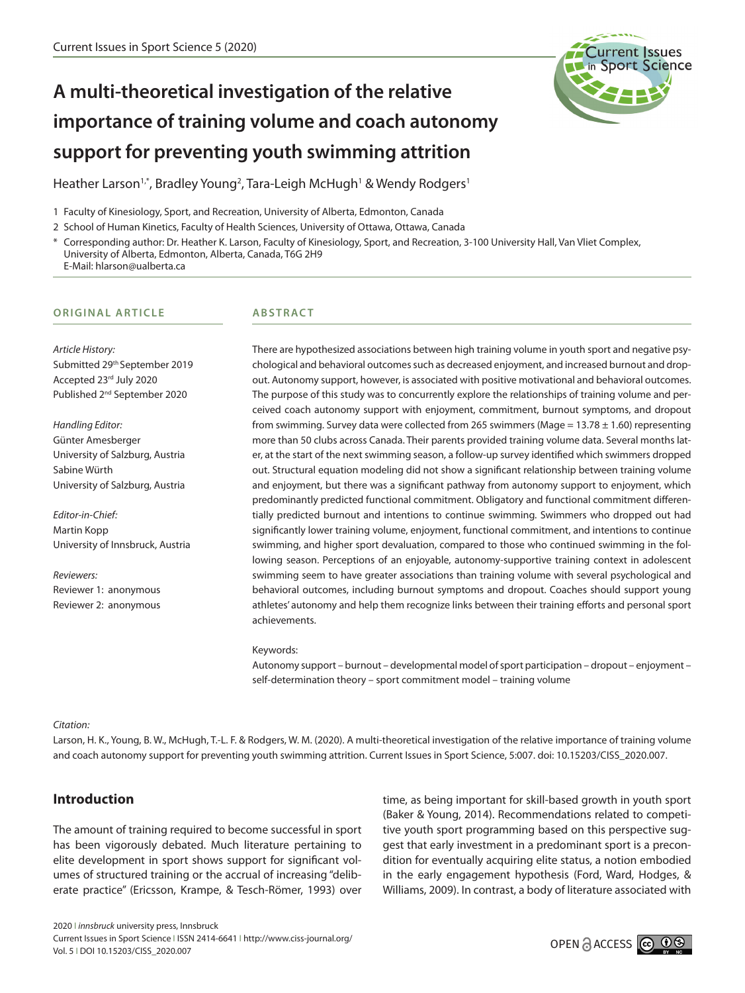

# **A multi-theoretical investigation of the relative importance of training volume and coach autonomy support for preventing youth swimming attrition**

Heather Larson<sup>1,\*</sup>, Bradley Young<sup>2</sup>, Tara-Leigh McHugh<sup>1</sup> & Wendy Rodgers<sup>1</sup>

1 Faculty of Kinesiology, Sport, and Recreation, University of Alberta, Edmonton, Canada

2 School of Human Kinetics, Faculty of Health Sciences, University of Ottawa, Ottawa, Canada

\* Corresponding author: Dr. Heather K. Larson, Faculty of Kinesiology, Sport, and Recreation, 3-100 University Hall, Van Vliet Complex, University of Alberta, Edmonton, Alberta, Canada, T6G 2H9 E-Mail: hlarson@ualberta.ca

#### **ORIGINAL ARTICLE**

## **ABSTRACT**

*Article History:* Submitted 29th September 2019 Accepted 23rd July 2020 Published 2<sup>nd</sup> September 2020

*Handling Editor:* Günter Amesberger University of Salzburg, Austria Sabine Würth University of Salzburg, Austria

*Editor-in-Chief:* Martin Kopp University of Innsbruck, Austria

*Reviewers:* Reviewer 1: anonymous Reviewer 2: anonymous There are hypothesized associations between high training volume in youth sport and negative psychological and behavioral outcomes such as decreased enjoyment, and increased burnout and dropout. Autonomy support, however, is associated with positive motivational and behavioral outcomes. The purpose of this study was to concurrently explore the relationships of training volume and perceived coach autonomy support with enjoyment, commitment, burnout symptoms, and dropout from swimming. Survey data were collected from 265 swimmers (Mage =  $13.78 \pm 1.60$ ) representing more than 50 clubs across Canada. Their parents provided training volume data. Several months later, at the start of the next swimming season, a follow-up survey identified which swimmers dropped out. Structural equation modeling did not show a significant relationship between training volume and enjoyment, but there was a significant pathway from autonomy support to enjoyment, which predominantly predicted functional commitment. Obligatory and functional commitment differentially predicted burnout and intentions to continue swimming. Swimmers who dropped out had significantly lower training volume, enjoyment, functional commitment, and intentions to continue swimming, and higher sport devaluation, compared to those who continued swimming in the following season. Perceptions of an enjoyable, autonomy-supportive training context in adolescent swimming seem to have greater associations than training volume with several psychological and behavioral outcomes, including burnout symptoms and dropout. Coaches should support young athletes' autonomy and help them recognize links between their training efforts and personal sport achievements.

#### Keywords:

Autonomy support – burnout – developmental model of sport participation – dropout – enjoyment – self-determination theory – sport commitment model – training volume

*Citation:*

Larson, H. K., Young, B. W., McHugh, T.-L. F. & Rodgers, W. M. (2020). A multi-theoretical investigation of the relative importance of training volume and coach autonomy support for preventing youth swimming attrition. Current Issues in Sport Science, 5:007. doi: 10.15203/CISS\_2020.007.

# **Introduction**

The amount of training required to become successful in sport has been vigorously debated. Much literature pertaining to elite development in sport shows support for significant volumes of structured training or the accrual of increasing "deliberate practice" (Ericsson, Krampe, & Tesch-Römer, 1993) over

time, as being important for skill-based growth in youth sport (Baker & Young, 2014). Recommendations related to competitive youth sport programming based on this perspective suggest that early investment in a predominant sport is a precondition for eventually acquiring elite status, a notion embodied in the early engagement hypothesis (Ford, Ward, Hodges, & Williams, 2009). In contrast, a body of literature associated with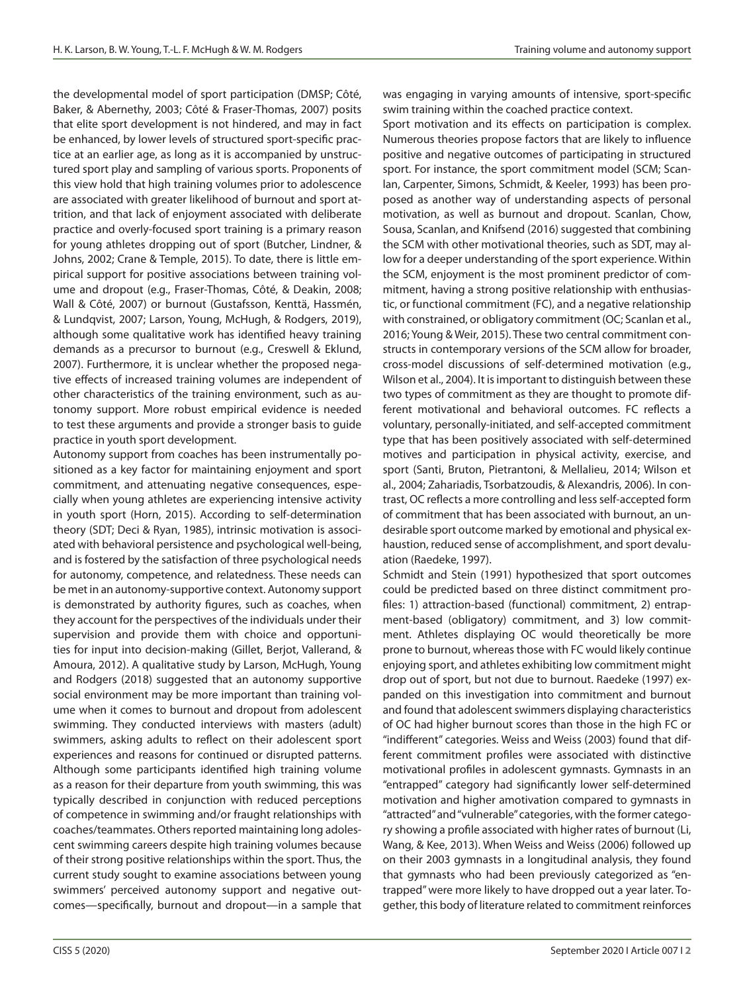the developmental model of sport participation (DMSP; Côté, Baker, & Abernethy, 2003; Côté & Fraser-Thomas, 2007) posits that elite sport development is not hindered, and may in fact be enhanced, by lower levels of structured sport-specific practice at an earlier age, as long as it is accompanied by unstructured sport play and sampling of various sports. Proponents of this view hold that high training volumes prior to adolescence are associated with greater likelihood of burnout and sport attrition, and that lack of enjoyment associated with deliberate practice and overly-focused sport training is a primary reason for young athletes dropping out of sport (Butcher, Lindner, & Johns, 2002; Crane & Temple, 2015). To date, there is little empirical support for positive associations between training volume and dropout (e.g., Fraser-Thomas, Côté, & Deakin, 2008; Wall & Côté, 2007) or burnout (Gustafsson, Kenttä, Hassmén, & Lundqvist, 2007; Larson, Young, McHugh, & Rodgers, 2019), although some qualitative work has identified heavy training demands as a precursor to burnout (e.g., Creswell & Eklund, 2007). Furthermore, it is unclear whether the proposed negative effects of increased training volumes are independent of other characteristics of the training environment, such as autonomy support. More robust empirical evidence is needed to test these arguments and provide a stronger basis to guide practice in youth sport development.

Autonomy support from coaches has been instrumentally positioned as a key factor for maintaining enjoyment and sport commitment, and attenuating negative consequences, especially when young athletes are experiencing intensive activity in youth sport (Horn, 2015). According to self-determination theory (SDT; Deci & Ryan, 1985), intrinsic motivation is associated with behavioral persistence and psychological well-being, and is fostered by the satisfaction of three psychological needs for autonomy, competence, and relatedness. These needs can be met in an autonomy-supportive context. Autonomy support is demonstrated by authority figures, such as coaches, when they account for the perspectives of the individuals under their supervision and provide them with choice and opportunities for input into decision-making (Gillet, Berjot, Vallerand, & Amoura, 2012). A qualitative study by Larson, McHugh, Young and Rodgers (2018) suggested that an autonomy supportive social environment may be more important than training volume when it comes to burnout and dropout from adolescent swimming. They conducted interviews with masters (adult) swimmers, asking adults to reflect on their adolescent sport experiences and reasons for continued or disrupted patterns. Although some participants identified high training volume as a reason for their departure from youth swimming, this was typically described in conjunction with reduced perceptions of competence in swimming and/or fraught relationships with coaches/teammates. Others reported maintaining long adolescent swimming careers despite high training volumes because of their strong positive relationships within the sport. Thus, the current study sought to examine associations between young swimmers' perceived autonomy support and negative outcomes—specifically, burnout and dropout—in a sample that

was engaging in varying amounts of intensive, sport-specific swim training within the coached practice context.

Sport motivation and its effects on participation is complex. Numerous theories propose factors that are likely to influence positive and negative outcomes of participating in structured sport. For instance, the sport commitment model (SCM; Scanlan, Carpenter, Simons, Schmidt, & Keeler, 1993) has been proposed as another way of understanding aspects of personal motivation, as well as burnout and dropout. Scanlan, Chow, Sousa, Scanlan, and Knifsend (2016) suggested that combining the SCM with other motivational theories, such as SDT, may allow for a deeper understanding of the sport experience. Within the SCM, enjoyment is the most prominent predictor of commitment, having a strong positive relationship with enthusiastic, or functional commitment (FC), and a negative relationship with constrained, or obligatory commitment (OC; Scanlan et al., 2016; Young & Weir, 2015). These two central commitment constructs in contemporary versions of the SCM allow for broader, cross-model discussions of self-determined motivation (e.g., Wilson et al., 2004). It is important to distinguish between these two types of commitment as they are thought to promote different motivational and behavioral outcomes. FC reflects a voluntary, personally-initiated, and self-accepted commitment type that has been positively associated with self-determined motives and participation in physical activity, exercise, and sport (Santi, Bruton, Pietrantoni, & Mellalieu, 2014; Wilson et al., 2004; Zahariadis, Tsorbatzoudis, & Alexandris, 2006). In contrast, OC reflects a more controlling and less self-accepted form of commitment that has been associated with burnout, an undesirable sport outcome marked by emotional and physical exhaustion, reduced sense of accomplishment, and sport devaluation (Raedeke, 1997).

Schmidt and Stein (1991) hypothesized that sport outcomes could be predicted based on three distinct commitment profiles: 1) attraction-based (functional) commitment, 2) entrapment-based (obligatory) commitment, and 3) low commitment. Athletes displaying OC would theoretically be more prone to burnout, whereas those with FC would likely continue enjoying sport, and athletes exhibiting low commitment might drop out of sport, but not due to burnout. Raedeke (1997) expanded on this investigation into commitment and burnout and found that adolescent swimmers displaying characteristics of OC had higher burnout scores than those in the high FC or "indifferent" categories. Weiss and Weiss (2003) found that different commitment profiles were associated with distinctive motivational profiles in adolescent gymnasts. Gymnasts in an "entrapped" category had significantly lower self-determined motivation and higher amotivation compared to gymnasts in "attracted" and "vulnerable" categories, with the former category showing a profile associated with higher rates of burnout (Li, Wang, & Kee, 2013). When Weiss and Weiss (2006) followed up on their 2003 gymnasts in a longitudinal analysis, they found that gymnasts who had been previously categorized as "entrapped" were more likely to have dropped out a year later. Together, this body of literature related to commitment reinforces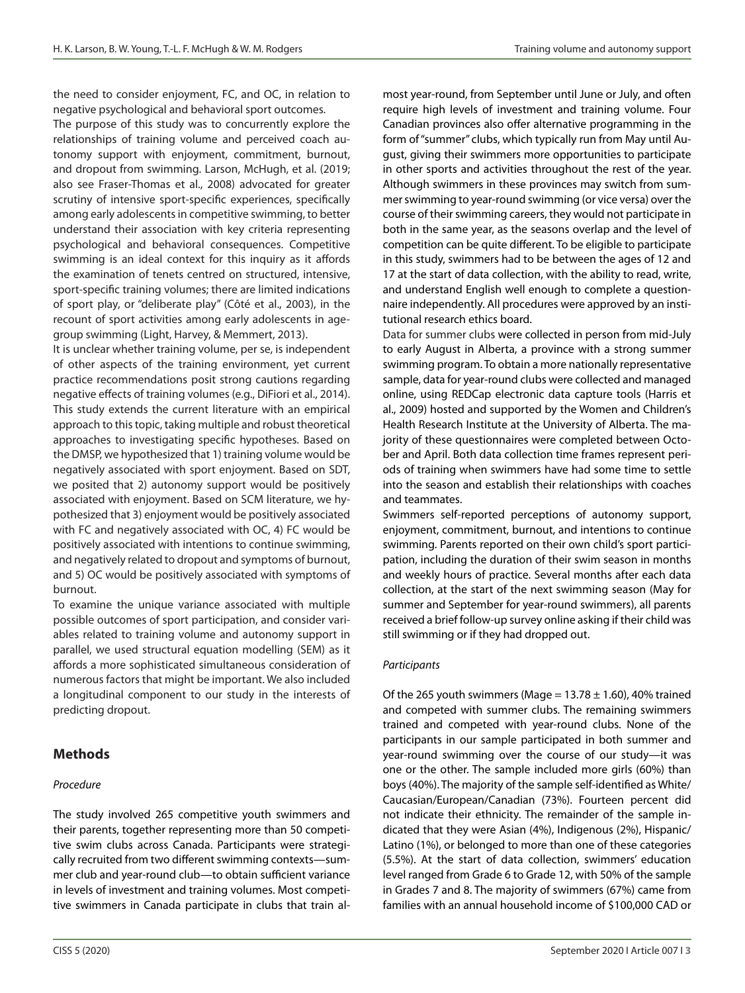the need to consider enjoyment, FC, and OC, in relation to negative psychological and behavioral sport outcomes.

The purpose of this study was to concurrently explore the relationships of training volume and perceived coach autonomy support with enjoyment, commitment, burnout, and dropout from swimming. Larson, McHugh, et al. (2019; also see Fraser-Thomas et al., 2008) advocated for greater scrutiny of intensive sport-specific experiences, specifically among early adolescents in competitive swimming, to better understand their association with key criteria representing psychological and behavioral consequences. Competitive swimming is an ideal context for this inquiry as it affords the examination of tenets centred on structured, intensive, sport-specific training volumes; there are limited indications of sport play, or "deliberate play" (Côté et al., 2003), in the recount of sport activities among early adolescents in agegroup swimming (Light, Harvey, & Memmert, 2013).

It is unclear whether training volume, per se, is independent of other aspects of the training environment, yet current practice recommendations posit strong cautions regarding negative effects of training volumes (e.g., DiFiori et al., 2014). This study extends the current literature with an empirical approach to this topic, taking multiple and robust theoretical approaches to investigating specific hypotheses. Based on the DMSP, we hypothesized that 1) training volume would be negatively associated with sport enjoyment. Based on SDT, we posited that 2) autonomy support would be positively associated with enjoyment. Based on SCM literature, we hypothesized that 3) enjoyment would be positively associated with FC and negatively associated with OC, 4) FC would be positively associated with intentions to continue swimming, and negatively related to dropout and symptoms of burnout, and 5) OC would be positively associated with symptoms of burnout.

To examine the unique variance associated with multiple possible outcomes of sport participation, and consider variables related to training volume and autonomy support in parallel, we used structural equation modelling (SEM) as it affords a more sophisticated simultaneous consideration of numerous factors that might be important. We also included a longitudinal component to our study in the interests of predicting dropout.

# **Methods**

## *Procedure*

The study involved 265 competitive youth swimmers and their parents, together representing more than 50 competitive swim clubs across Canada. Participants were strategically recruited from two different swimming contexts—summer club and year-round club—to obtain sufficient variance in levels of investment and training volumes. Most competitive swimmers in Canada participate in clubs that train almost year-round, from September until June or July, and often require high levels of investment and training volume. Four Canadian provinces also offer alternative programming in the form of "summer" clubs, which typically run from May until August, giving their swimmers more opportunities to participate in other sports and activities throughout the rest of the year. Although swimmers in these provinces may switch from summer swimming to year-round swimming (or vice versa) over the course of their swimming careers, they would not participate in both in the same year, as the seasons overlap and the level of competition can be quite different. To be eligible to participate in this study, swimmers had to be between the ages of 12 and 17 at the start of data collection, with the ability to read, write, and understand English well enough to complete a questionnaire independently. All procedures were approved by an institutional research ethics board.

Data for summer clubs were collected in person from mid-July to early August in Alberta, a province with a strong summer swimming program. To obtain a more nationally representative sample, data for year-round clubs were collected and managed online, using REDCap electronic data capture tools (Harris et al., 2009) hosted and supported by the Women and Children's Health Research Institute at the University of Alberta. The majority of these questionnaires were completed between October and April. Both data collection time frames represent periods of training when swimmers have had some time to settle into the season and establish their relationships with coaches and teammates.

Swimmers self-reported perceptions of autonomy support, enjoyment, commitment, burnout, and intentions to continue swimming. Parents reported on their own child's sport participation, including the duration of their swim season in months and weekly hours of practice. Several months after each data collection, at the start of the next swimming season (May for summer and September for year-round swimmers), all parents received a brief follow-up survey online asking if their child was still swimming or if they had dropped out.

## *Participants*

Of the 265 youth swimmers (Mage =  $13.78 \pm 1.60$ ), 40% trained and competed with summer clubs. The remaining swimmers trained and competed with year-round clubs. None of the participants in our sample participated in both summer and year-round swimming over the course of our study—it was one or the other. The sample included more girls (60%) than boys (40%). The majority of the sample self-identified as White/ Caucasian/European/Canadian (73%). Fourteen percent did not indicate their ethnicity. The remainder of the sample indicated that they were Asian (4%), Indigenous (2%), Hispanic/ Latino (1%), or belonged to more than one of these categories (5.5%). At the start of data collection, swimmers' education level ranged from Grade 6 to Grade 12, with 50% of the sample in Grades 7 and 8. The majority of swimmers (67%) came from families with an annual household income of \$100,000 CAD or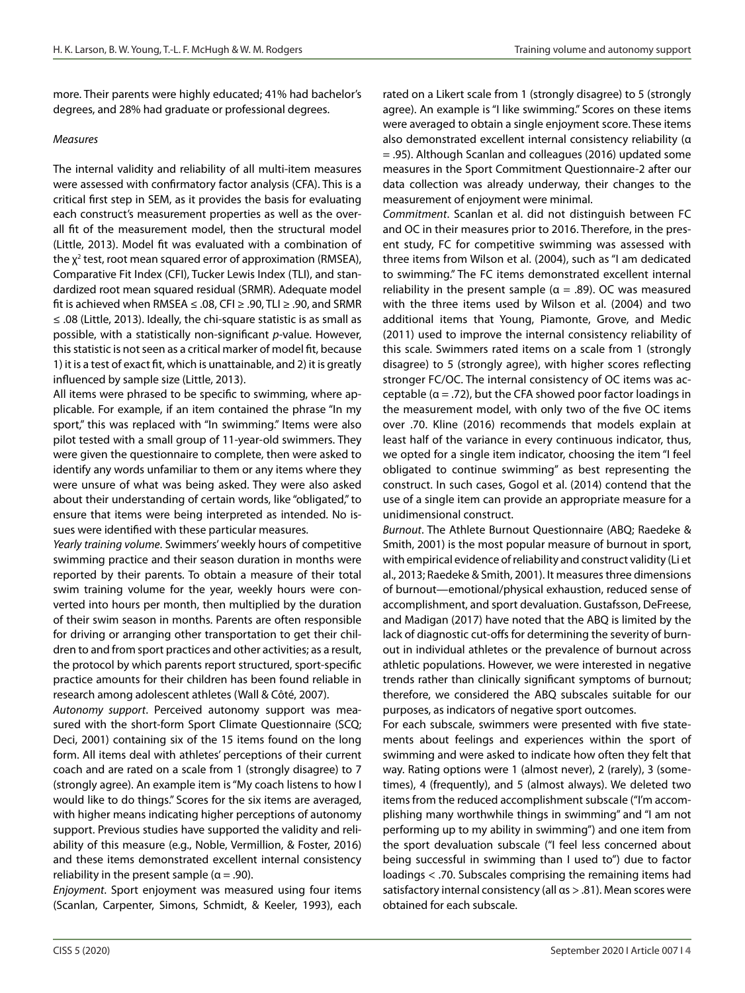more. Their parents were highly educated; 41% had bachelor's degrees, and 28% had graduate or professional degrees.

#### *Measures*

The internal validity and reliability of all multi-item measures were assessed with confirmatory factor analysis (CFA). This is a critical first step in SEM, as it provides the basis for evaluating each construct's measurement properties as well as the overall fit of the measurement model, then the structural model (Little, 2013). Model fit was evaluated with a combination of the  $\chi^2$  test, root mean squared error of approximation (RMSEA), Comparative Fit Index (CFI), Tucker Lewis Index (TLI), and standardized root mean squared residual (SRMR). Adequate model fit is achieved when RMSEA ≤ .08, CFI ≥ .90, TLI ≥ .90, and SRMR ≤ .08 (Little, 2013). Ideally, the chi-square statistic is as small as possible, with a statistically non-significant *p*-value. However, this statistic is not seen as a critical marker of model fit, because 1) it is a test of exact fit, which is unattainable, and 2) it is greatly influenced by sample size (Little, 2013).

All items were phrased to be specific to swimming, where applicable. For example, if an item contained the phrase "In my sport," this was replaced with "In swimming." Items were also pilot tested with a small group of 11-year-old swimmers. They were given the questionnaire to complete, then were asked to identify any words unfamiliar to them or any items where they were unsure of what was being asked. They were also asked about their understanding of certain words, like "obligated," to ensure that items were being interpreted as intended. No issues were identified with these particular measures.

*Yearly training volume*. Swimmers' weekly hours of competitive swimming practice and their season duration in months were reported by their parents. To obtain a measure of their total swim training volume for the year, weekly hours were converted into hours per month, then multiplied by the duration of their swim season in months. Parents are often responsible for driving or arranging other transportation to get their children to and from sport practices and other activities; as a result, the protocol by which parents report structured, sport-specific practice amounts for their children has been found reliable in research among adolescent athletes (Wall & Côté, 2007).

*Autonomy support*. Perceived autonomy support was measured with the short-form Sport Climate Questionnaire (SCQ; Deci, 2001) containing six of the 15 items found on the long form. All items deal with athletes' perceptions of their current coach and are rated on a scale from 1 (strongly disagree) to 7 (strongly agree). An example item is "My coach listens to how I would like to do things." Scores for the six items are averaged, with higher means indicating higher perceptions of autonomy support. Previous studies have supported the validity and reliability of this measure (e.g., Noble, Vermillion, & Foster, 2016) and these items demonstrated excellent internal consistency reliability in the present sample ( $\alpha = .90$ ).

*Enjoyment*. Sport enjoyment was measured using four items (Scanlan, Carpenter, Simons, Schmidt, & Keeler, 1993), each rated on a Likert scale from 1 (strongly disagree) to 5 (strongly agree). An example is "I like swimming." Scores on these items were averaged to obtain a single enjoyment score. These items also demonstrated excellent internal consistency reliability (α = .95). Although Scanlan and colleagues (2016) updated some measures in the Sport Commitment Questionnaire-2 after our data collection was already underway, their changes to the measurement of enjoyment were minimal.

*Commitment*. Scanlan et al. did not distinguish between FC and OC in their measures prior to 2016. Therefore, in the present study, FC for competitive swimming was assessed with three items from Wilson et al. (2004), such as "I am dedicated to swimming." The FC items demonstrated excellent internal reliability in the present sample ( $\alpha = .89$ ). OC was measured with the three items used by Wilson et al. (2004) and two additional items that Young, Piamonte, Grove, and Medic (2011) used to improve the internal consistency reliability of this scale. Swimmers rated items on a scale from 1 (strongly disagree) to 5 (strongly agree), with higher scores reflecting stronger FC/OC. The internal consistency of OC items was acceptable ( $\alpha$  = .72), but the CFA showed poor factor loadings in the measurement model, with only two of the five OC items over .70. Kline (2016) recommends that models explain at least half of the variance in every continuous indicator, thus, we opted for a single item indicator, choosing the item "I feel obligated to continue swimming" as best representing the construct. In such cases, Gogol et al. (2014) contend that the use of a single item can provide an appropriate measure for a unidimensional construct.

*Burnout*. The Athlete Burnout Questionnaire (ABQ; Raedeke & Smith, 2001) is the most popular measure of burnout in sport, with empirical evidence of reliability and construct validity (Li et al., 2013; Raedeke & Smith, 2001). It measures three dimensions of burnout—emotional/physical exhaustion, reduced sense of accomplishment, and sport devaluation. Gustafsson, DeFreese, and Madigan (2017) have noted that the ABQ is limited by the lack of diagnostic cut-offs for determining the severity of burnout in individual athletes or the prevalence of burnout across athletic populations. However, we were interested in negative trends rather than clinically significant symptoms of burnout; therefore, we considered the ABQ subscales suitable for our purposes, as indicators of negative sport outcomes.

For each subscale, swimmers were presented with five statements about feelings and experiences within the sport of swimming and were asked to indicate how often they felt that way. Rating options were 1 (almost never), 2 (rarely), 3 (sometimes), 4 (frequently), and 5 (almost always). We deleted two items from the reduced accomplishment subscale ("I'm accomplishing many worthwhile things in swimming" and "I am not performing up to my ability in swimming") and one item from the sport devaluation subscale ("I feel less concerned about being successful in swimming than I used to") due to factor loadings < .70. Subscales comprising the remaining items had satisfactory internal consistency (all αs > .81). Mean scores were obtained for each subscale.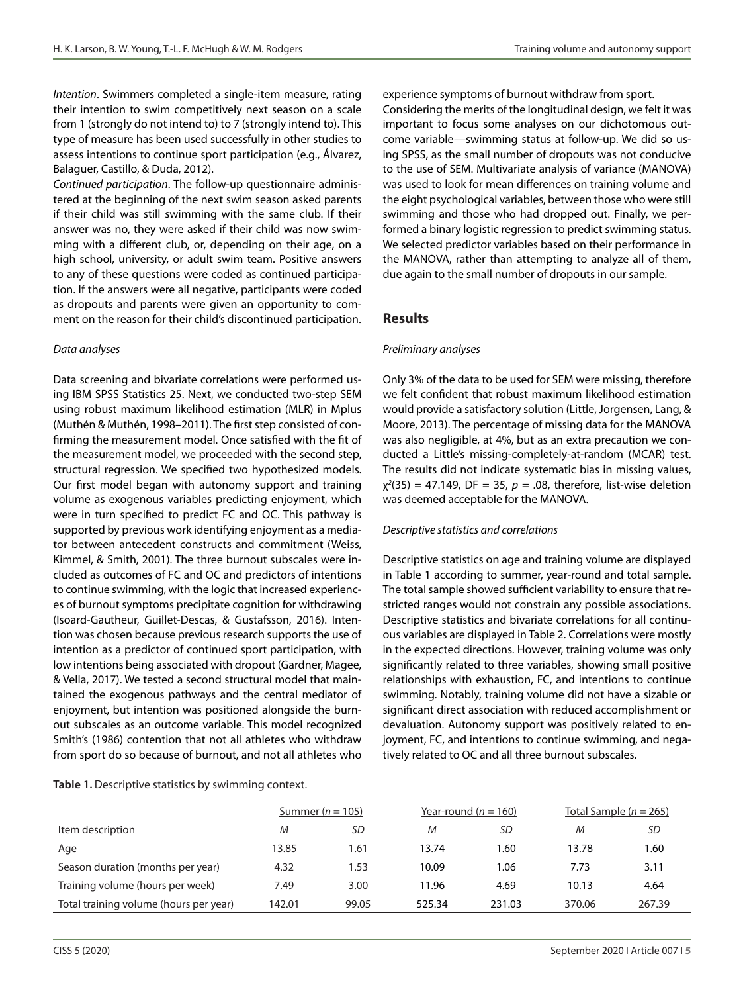*Intention*. Swimmers completed a single-item measure, rating their intention to swim competitively next season on a scale from 1 (strongly do not intend to) to 7 (strongly intend to). This type of measure has been used successfully in other studies to assess intentions to continue sport participation (e.g., Álvarez, Balaguer, Castillo, & Duda, 2012).

*Continued participation*. The follow-up questionnaire administered at the beginning of the next swim season asked parents if their child was still swimming with the same club. If their answer was no, they were asked if their child was now swimming with a different club, or, depending on their age, on a high school, university, or adult swim team. Positive answers to any of these questions were coded as continued participation. If the answers were all negative, participants were coded as dropouts and parents were given an opportunity to comment on the reason for their child's discontinued participation.

#### *Data analyses*

Data screening and bivariate correlations were performed using IBM SPSS Statistics 25. Next, we conducted two-step SEM using robust maximum likelihood estimation (MLR) in Mplus (Muthén & Muthén, 1998–2011). The first step consisted of confirming the measurement model. Once satisfied with the fit of the measurement model, we proceeded with the second step, structural regression. We specified two hypothesized models. Our first model began with autonomy support and training volume as exogenous variables predicting enjoyment, which were in turn specified to predict FC and OC. This pathway is supported by previous work identifying enjoyment as a mediator between antecedent constructs and commitment (Weiss, Kimmel, & Smith, 2001). The three burnout subscales were included as outcomes of FC and OC and predictors of intentions to continue swimming, with the logic that increased experiences of burnout symptoms precipitate cognition for withdrawing (Isoard-Gautheur, Guillet-Descas, & Gustafsson, 2016). Intention was chosen because previous research supports the use of intention as a predictor of continued sport participation, with low intentions being associated with dropout (Gardner, Magee, & Vella, 2017). We tested a second structural model that maintained the exogenous pathways and the central mediator of enjoyment, but intention was positioned alongside the burnout subscales as an outcome variable. This model recognized Smith's (1986) contention that not all athletes who withdraw from sport do so because of burnout, and not all athletes who

experience symptoms of burnout withdraw from sport.

Considering the merits of the longitudinal design, we felt it was important to focus some analyses on our dichotomous outcome variable—swimming status at follow-up. We did so using SPSS, as the small number of dropouts was not conducive to the use of SEM. Multivariate analysis of variance (MANOVA) was used to look for mean differences on training volume and the eight psychological variables, between those who were still swimming and those who had dropped out. Finally, we performed a binary logistic regression to predict swimming status. We selected predictor variables based on their performance in the MANOVA, rather than attempting to analyze all of them, due again to the small number of dropouts in our sample.

## **Results**

#### *Preliminary analyses*

Only 3% of the data to be used for SEM were missing, therefore we felt confident that robust maximum likelihood estimation would provide a satisfactory solution (Little, Jorgensen, Lang, & Moore, 2013). The percentage of missing data for the MANOVA was also negligible, at 4%, but as an extra precaution we conducted a Little's missing-completely-at-random (MCAR) test. The results did not indicate systematic bias in missing values,  $\chi^2(35) = 47.149$ , DF = 35,  $p = .08$ , therefore, list-wise deletion was deemed acceptable for the MANOVA.

## *Descriptive statistics and correlations*

Descriptive statistics on age and training volume are displayed in Table 1 according to summer, year-round and total sample. The total sample showed sufficient variability to ensure that restricted ranges would not constrain any possible associations. Descriptive statistics and bivariate correlations for all continuous variables are displayed in Table 2. Correlations were mostly in the expected directions. However, training volume was only significantly related to three variables, showing small positive relationships with exhaustion, FC, and intentions to continue swimming. Notably, training volume did not have a sizable or significant direct association with reduced accomplishment or devaluation. Autonomy support was positively related to enjoyment, FC, and intentions to continue swimming, and negatively related to OC and all three burnout subscales.

|                                        | Summer ( $n = 105$ ) |       | Year-round $(n = 160)$ |        | Total Sample ( $n = 265$ ) |        |
|----------------------------------------|----------------------|-------|------------------------|--------|----------------------------|--------|
| Item description                       | M                    | SD    | M                      | SD     | M                          | SD     |
| Age                                    | 13.85                | 1.61  | 13.74                  | 1.60   | 13.78                      | 1.60   |
| Season duration (months per year)      | 4.32                 | 1.53  | 10.09                  | 1.06   | 7.73                       | 3.11   |
| Training volume (hours per week)       | 7.49                 | 3.00  | 11.96                  | 4.69   | 10.13                      | 4.64   |
| Total training volume (hours per year) | 142.01               | 99.05 | 525.34                 | 231.03 | 370.06                     | 267.39 |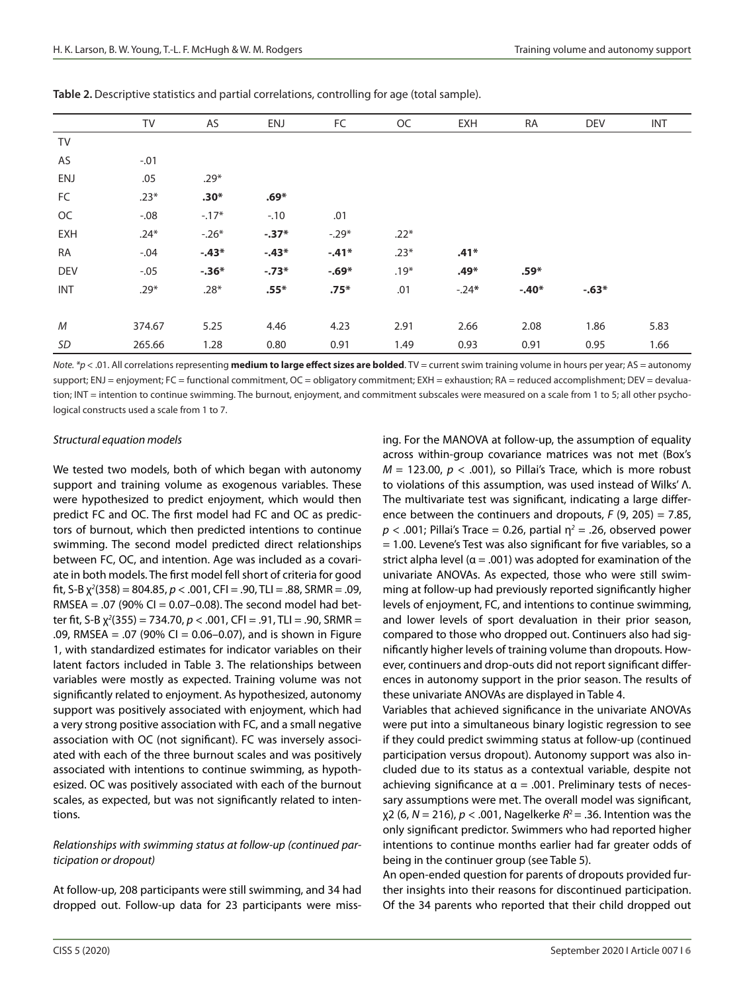|            | TV     | AS      | ENJ     | FC      | OC     | <b>EXH</b> | RA      | <b>DEV</b> | <b>INT</b> |
|------------|--------|---------|---------|---------|--------|------------|---------|------------|------------|
| TV         |        |         |         |         |        |            |         |            |            |
| AS         | $-.01$ |         |         |         |        |            |         |            |            |
| <b>ENJ</b> | .05    | $.29*$  |         |         |        |            |         |            |            |
| FC         | $.23*$ | $.30*$  | $.69*$  |         |        |            |         |            |            |
| OC         | $-.08$ | $-.17*$ | $-.10$  | .01     |        |            |         |            |            |
| <b>EXH</b> | $.24*$ | $-.26*$ | $-.37*$ | $-.29*$ | $.22*$ |            |         |            |            |
| <b>RA</b>  | $-.04$ | $-.43*$ | $-.43*$ | $-.41*$ | $.23*$ | $.41*$     |         |            |            |
| <b>DEV</b> | $-.05$ | $-.36*$ | $-.73*$ | $-.69*$ | $.19*$ | $.49*$     | $.59*$  |            |            |
| <b>INT</b> | $.29*$ | $.28*$  | $.55*$  | $.75*$  | .01    | $-.24*$    | $-.40*$ | $-.63*$    |            |
|            |        |         |         |         |        |            |         |            |            |
| M          | 374.67 | 5.25    | 4.46    | 4.23    | 2.91   | 2.66       | 2.08    | 1.86       | 5.83       |
| SD         | 265.66 | 1.28    | 0.80    | 0.91    | 1.49   | 0.93       | 0.91    | 0.95       | 1.66       |

**Table 2.** Descriptive statistics and partial correlations, controlling for age (total sample).

*Note. \*p* < .01. All correlations representing **medium to large effect sizes are bolded**. TV = current swim training volume in hours per year; AS = autonomy support; ENJ = enjoyment; FC = functional commitment, OC = obligatory commitment; EXH = exhaustion; RA = reduced accomplishment; DEV = devaluation; INT = intention to continue swimming. The burnout, enjoyment, and commitment subscales were measured on a scale from 1 to 5; all other psychological constructs used a scale from 1 to 7.

#### *Structural equation models*

We tested two models, both of which began with autonomy support and training volume as exogenous variables. These were hypothesized to predict enjoyment, which would then predict FC and OC. The first model had FC and OC as predictors of burnout, which then predicted intentions to continue swimming. The second model predicted direct relationships between FC, OC, and intention. Age was included as a covariate in both models. The first model fell short of criteria for good fit, S-B χ*<sup>2</sup>* (358) = 804.85, *p* < .001, CFI = .90, TLI = .88, SRMR = .09, RMSEA = .07 (90% CI = 0.07-0.08). The second model had better fit, S-B χ*<sup>2</sup>* (355) = 734.70, *p* < .001, CFI = .91, TLI = .90, SRMR = .09, RMSEA = .07 (90% CI = 0.06–0.07), and is shown in Figure 1, with standardized estimates for indicator variables on their latent factors included in Table 3. The relationships between variables were mostly as expected. Training volume was not significantly related to enjoyment. As hypothesized, autonomy support was positively associated with enjoyment, which had a very strong positive association with FC, and a small negative association with OC (not significant). FC was inversely associated with each of the three burnout scales and was positively associated with intentions to continue swimming, as hypothesized. OC was positively associated with each of the burnout scales, as expected, but was not significantly related to intentions.

#### *Relationships with swimming status at follow-up (continued participation or dropout)*

At follow-up, 208 participants were still swimming, and 34 had dropped out. Follow-up data for 23 participants were missing. For the MANOVA at follow-up, the assumption of equality across within-group covariance matrices was not met (Box's *M* = 123.00, *p* < .001), so Pillai's Trace, which is more robust to violations of this assumption, was used instead of Wilks' Λ. The multivariate test was significant, indicating a large difference between the continuers and dropouts, *F* (9, 205) = 7.85,  $p$  < .001; Pillai's Trace = 0.26, partial  $\eta^2$  = .26, observed power  $= 1.00$ . Levene's Test was also significant for five variables, so a strict alpha level ( $\alpha$  = .001) was adopted for examination of the univariate ANOVAs. As expected, those who were still swimming at follow-up had previously reported significantly higher levels of enjoyment, FC, and intentions to continue swimming, and lower levels of sport devaluation in their prior season, compared to those who dropped out. Continuers also had significantly higher levels of training volume than dropouts. However, continuers and drop-outs did not report significant differences in autonomy support in the prior season. The results of these univariate ANOVAs are displayed in Table 4.

Variables that achieved significance in the univariate ANOVAs were put into a simultaneous binary logistic regression to see if they could predict swimming status at follow-up (continued participation versus dropout). Autonomy support was also included due to its status as a contextual variable, despite not achieving significance at  $\alpha = .001$ . Preliminary tests of necessary assumptions were met. The overall model was significant, χ2 (6, *N* = 216), *p* < .001, Nagelkerke *R*2 = .36. Intention was the only significant predictor. Swimmers who had reported higher intentions to continue months earlier had far greater odds of being in the continuer group (see Table 5).

An open-ended question for parents of dropouts provided further insights into their reasons for discontinued participation. Of the 34 parents who reported that their child dropped out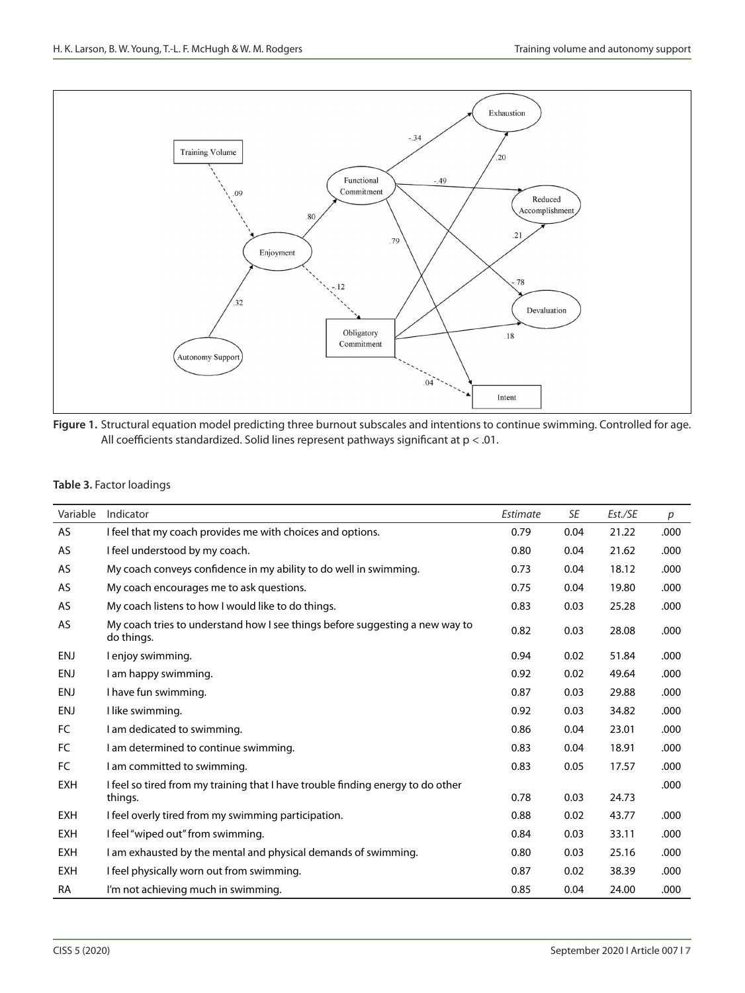

**Figure 1.** Structural equation model predicting three burnout subscales and intentions to continue swimming. Controlled for age. All coefficients standardized. Solid lines represent pathways significant at p < .01.

#### **Table 3.** Factor loadings

| Variable   | Indicator                                                                                  | Estimate | SE   | Est./SE | p    |
|------------|--------------------------------------------------------------------------------------------|----------|------|---------|------|
| <b>AS</b>  | I feel that my coach provides me with choices and options.                                 | 0.79     | 0.04 | 21.22   | .000 |
| AS         | I feel understood by my coach.                                                             | 0.80     | 0.04 | 21.62   | .000 |
| AS         | My coach conveys confidence in my ability to do well in swimming.                          | 0.73     | 0.04 | 18.12   | .000 |
| AS         | My coach encourages me to ask questions.                                                   | 0.75     | 0.04 | 19.80   | .000 |
| AS         | My coach listens to how I would like to do things.                                         | 0.83     | 0.03 | 25.28   | .000 |
| AS         | My coach tries to understand how I see things before suggesting a new way to<br>do things. | 0.82     | 0.03 | 28.08   | .000 |
| ENJ        | I enjoy swimming.                                                                          | 0.94     | 0.02 | 51.84   | .000 |
| ENJ        | I am happy swimming.                                                                       | 0.92     | 0.02 | 49.64   | .000 |
| ENJ        | I have fun swimming.                                                                       | 0.87     | 0.03 | 29.88   | .000 |
| <b>ENJ</b> | I like swimming.                                                                           | 0.92     | 0.03 | 34.82   | .000 |
| FC         | I am dedicated to swimming.                                                                | 0.86     | 0.04 | 23.01   | .000 |
| FC         | I am determined to continue swimming.                                                      | 0.83     | 0.04 | 18.91   | .000 |
| FC         | I am committed to swimming.                                                                | 0.83     | 0.05 | 17.57   | .000 |
| <b>EXH</b> | I feel so tired from my training that I have trouble finding energy to do other<br>things. | 0.78     | 0.03 | 24.73   | .000 |
| <b>EXH</b> | I feel overly tired from my swimming participation.                                        | 0.88     | 0.02 | 43.77   | .000 |
| <b>EXH</b> | I feel "wiped out" from swimming.                                                          | 0.84     | 0.03 | 33.11   | .000 |
| <b>EXH</b> | I am exhausted by the mental and physical demands of swimming.                             | 0.80     | 0.03 | 25.16   | .000 |
| <b>EXH</b> | I feel physically worn out from swimming.                                                  | 0.87     | 0.02 | 38.39   | .000 |
| <b>RA</b>  | I'm not achieving much in swimming.                                                        | 0.85     | 0.04 | 24.00   | .000 |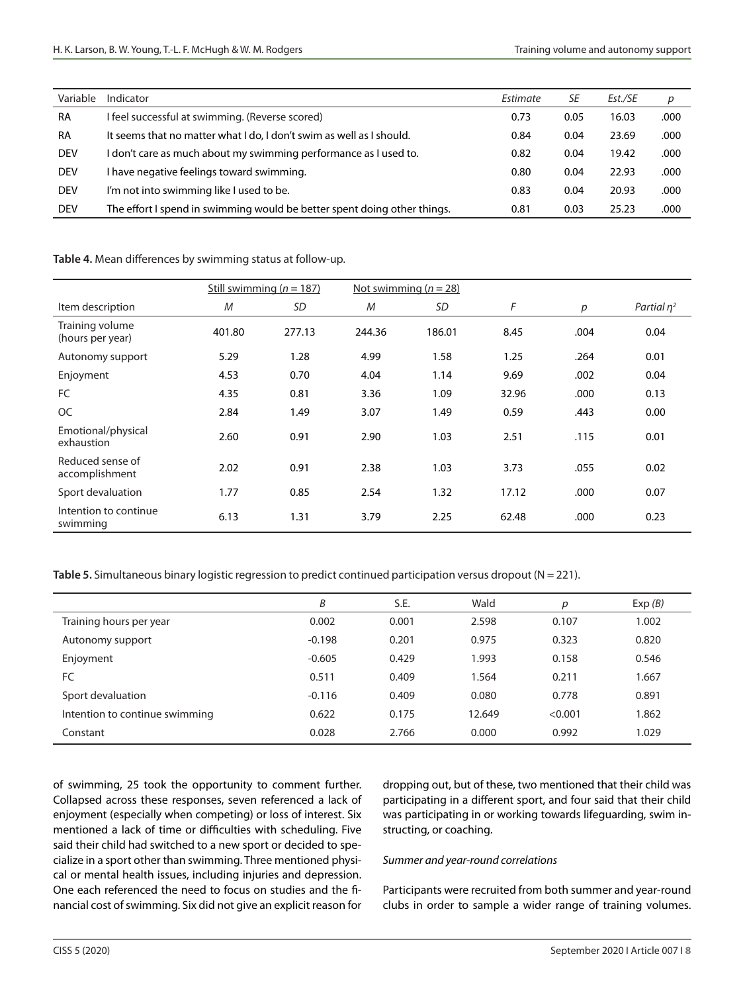| Variable   | Indicator                                                                | Estimate | SE   | Est./SE | p    |
|------------|--------------------------------------------------------------------------|----------|------|---------|------|
| <b>RA</b>  | I feel successful at swimming. (Reverse scored)                          | 0.73     | 0.05 | 16.03   | .000 |
| <b>RA</b>  | It seems that no matter what I do, I don't swim as well as I should.     | 0.84     | 0.04 | 23.69   | .000 |
| <b>DEV</b> | I don't care as much about my swimming performance as I used to.         | 0.82     | 0.04 | 19.42   | .000 |
| <b>DEV</b> | I have negative feelings toward swimming.                                | 0.80     | 0.04 | 22.93   | .000 |
| <b>DEV</b> | I'm not into swimming like I used to be.                                 | 0.83     | 0.04 | 20.93   | .000 |
| <b>DEV</b> | The effort I spend in swimming would be better spent doing other things. | 0.81     | 0.03 | 25.23   | .000 |

|                                     |        | Still swimming ( $n = 187$ ) | Not swimming $(n = 28)$ |        |       |      |               |
|-------------------------------------|--------|------------------------------|-------------------------|--------|-------|------|---------------|
| Item description                    | M      | SD                           | M                       | SD     | F     | p    | Partial $n^2$ |
| Training volume<br>(hours per year) | 401.80 | 277.13                       | 244.36                  | 186.01 | 8.45  | .004 | 0.04          |
| Autonomy support                    | 5.29   | 1.28                         | 4.99                    | 1.58   | 1.25  | .264 | 0.01          |
| Enjoyment                           | 4.53   | 0.70                         | 4.04                    | 1.14   | 9.69  | .002 | 0.04          |
| <b>FC</b>                           | 4.35   | 0.81                         | 3.36                    | 1.09   | 32.96 | .000 | 0.13          |
| <b>OC</b>                           | 2.84   | 1.49                         | 3.07                    | 1.49   | 0.59  | .443 | 0.00          |
| Emotional/physical<br>exhaustion    | 2.60   | 0.91                         | 2.90                    | 1.03   | 2.51  | .115 | 0.01          |
| Reduced sense of<br>accomplishment  | 2.02   | 0.91                         | 2.38                    | 1.03   | 3.73  | .055 | 0.02          |
| Sport devaluation                   | 1.77   | 0.85                         | 2.54                    | 1.32   | 17.12 | .000 | 0.07          |
| Intention to continue<br>swimming   | 6.13   | 1.31                         | 3.79                    | 2.25   | 62.48 | .000 | 0.23          |

## **Table 4.** Mean differences by swimming status at follow-up.

**Table 5.** Simultaneous binary logistic regression to predict continued participation versus dropout (N = 221).

|                                | Β        | S.E.  | Wald   | р       | Exp(B) |
|--------------------------------|----------|-------|--------|---------|--------|
| Training hours per year        | 0.002    | 0.001 | 2.598  | 0.107   | 1.002  |
| Autonomy support               | $-0.198$ | 0.201 | 0.975  | 0.323   | 0.820  |
| Enjoyment                      | $-0.605$ | 0.429 | 1.993  | 0.158   | 0.546  |
| FC.                            | 0.511    | 0.409 | 1.564  | 0.211   | 1.667  |
| Sport devaluation              | $-0.116$ | 0.409 | 0.080  | 0.778   | 0.891  |
| Intention to continue swimming | 0.622    | 0.175 | 12.649 | < 0.001 | 1.862  |
| Constant                       | 0.028    | 2.766 | 0.000  | 0.992   | 1.029  |

of swimming, 25 took the opportunity to comment further. Collapsed across these responses, seven referenced a lack of enjoyment (especially when competing) or loss of interest. Six mentioned a lack of time or difficulties with scheduling. Five said their child had switched to a new sport or decided to specialize in a sport other than swimming. Three mentioned physical or mental health issues, including injuries and depression. One each referenced the need to focus on studies and the financial cost of swimming. Six did not give an explicit reason for dropping out, but of these, two mentioned that their child was participating in a different sport, and four said that their child was participating in or working towards lifeguarding, swim instructing, or coaching.

## *Summer and year-round correlations*

Participants were recruited from both summer and year-round clubs in order to sample a wider range of training volumes.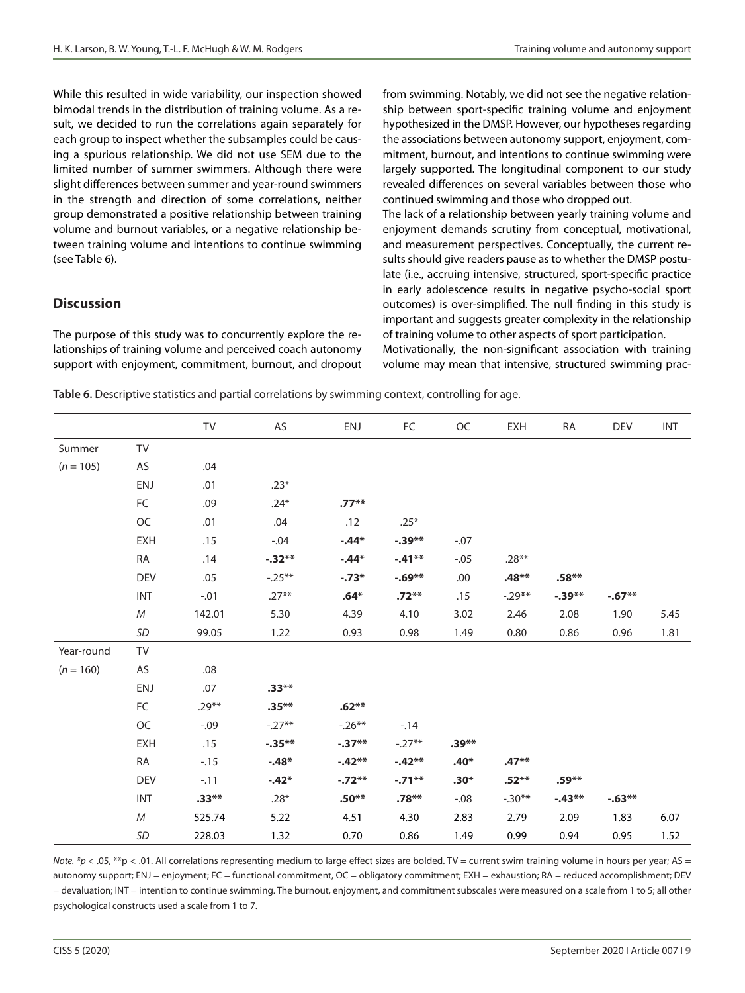While this resulted in wide variability, our inspection showed bimodal trends in the distribution of training volume. As a result, we decided to run the correlations again separately for each group to inspect whether the subsamples could be causing a spurious relationship. We did not use SEM due to the limited number of summer swimmers. Although there were slight differences between summer and year-round swimmers in the strength and direction of some correlations, neither group demonstrated a positive relationship between training volume and burnout variables, or a negative relationship between training volume and intentions to continue swimming (see Table 6).

# **Discussion**

The purpose of this study was to concurrently explore the relationships of training volume and perceived coach autonomy support with enjoyment, commitment, burnout, and dropout from swimming. Notably, we did not see the negative relationship between sport-specific training volume and enjoyment hypothesized in the DMSP. However, our hypotheses regarding the associations between autonomy support, enjoyment, commitment, burnout, and intentions to continue swimming were largely supported. The longitudinal component to our study revealed differences on several variables between those who continued swimming and those who dropped out.

The lack of a relationship between yearly training volume and enjoyment demands scrutiny from conceptual, motivational, and measurement perspectives. Conceptually, the current results should give readers pause as to whether the DMSP postulate (i.e., accruing intensive, structured, sport-specific practice in early adolescence results in negative psycho-social sport outcomes) is over-simplified. The null finding in this study is important and suggests greater complexity in the relationship of training volume to other aspects of sport participation.

Motivationally, the non-significant association with training volume may mean that intensive, structured swimming prac-

|  | Table 6. Descriptive statistics and partial correlations by swimming context, controlling for age. |
|--|----------------------------------------------------------------------------------------------------|
|  |                                                                                                    |

|             |            | TV      | AS        | ENJ      | FC        | OC      | <b>EXH</b> | RA        | <b>DEV</b> | <b>INT</b> |
|-------------|------------|---------|-----------|----------|-----------|---------|------------|-----------|------------|------------|
| Summer      | TV         |         |           |          |           |         |            |           |            |            |
| $(n = 105)$ | AS         | .04     |           |          |           |         |            |           |            |            |
|             | <b>ENJ</b> | .01     | $.23*$    |          |           |         |            |           |            |            |
|             | ${\sf FC}$ | .09     | $.24*$    | $.77**$  |           |         |            |           |            |            |
|             | $OC$       | .01     | .04       | .12      | $.25*$    |         |            |           |            |            |
|             | <b>EXH</b> | .15     | $-.04$    | $-.44*$  | $-.39**$  | $-.07$  |            |           |            |            |
|             | RA         | .14     | $-.32**$  | $-.44*$  | $-.41**$  | $-.05$  | $.28**$    |           |            |            |
|             | <b>DEV</b> | .05     | $-.25***$ | $-.73*$  | $-0.69**$ | .00     | $.48**$    | $.58**$   |            |            |
|             | <b>INT</b> | $-.01$  | $.27**$   | $.64*$   | $.72**$   | .15     | $-29**$    | $-0.39**$ | $-.67**$   |            |
|             | М          | 142.01  | 5.30      | 4.39     | 4.10      | 3.02    | 2.46       | 2.08      | 1.90       | 5.45       |
|             | SD         | 99.05   | 1.22      | 0.93     | 0.98      | 1.49    | 0.80       | 0.86      | 0.96       | 1.81       |
| Year-round  | TV         |         |           |          |           |         |            |           |            |            |
| $(n = 160)$ | AS         | .08     |           |          |           |         |            |           |            |            |
|             | ENJ        | .07     | $.33**$   |          |           |         |            |           |            |            |
|             | FC         | $.29**$ | $.35**$   | $.62**$  |           |         |            |           |            |            |
|             | OC         | $-.09$  | $-.27**$  | $-.26**$ | $-14$     |         |            |           |            |            |
|             | <b>EXH</b> | .15     | $-.35***$ | $-.37**$ | $-.27**$  | $.39**$ |            |           |            |            |
|             | <b>RA</b>  | $-.15$  | $-.48*$   | $-.42**$ | $-.42**$  | $.40*$  | $.47**$    |           |            |            |
|             | <b>DEV</b> | $-.11$  | $-.42*$   | $-.72**$ | $-.71**$  | $.30*$  | $.52**$    | $.59***$  |            |            |
|             | <b>INT</b> | $.33**$ | $.28*$    | $.50**$  | $.78**$   | $-.08$  | $-.30**$   | $-43**$   | $-0.63**$  |            |
|             | ${\cal M}$ | 525.74  | 5.22      | 4.51     | 4.30      | 2.83    | 2.79       | 2.09      | 1.83       | 6.07       |
|             | SD         | 228.03  | 1.32      | 0.70     | 0.86      | 1.49    | 0.99       | 0.94      | 0.95       | 1.52       |

*Note. \*p* < .05, \*\*p < .01. All correlations representing medium to large effect sizes are bolded. TV = current swim training volume in hours per year; AS = autonomy support; ENJ = enjoyment; FC = functional commitment, OC = obligatory commitment; EXH = exhaustion; RA = reduced accomplishment; DEV = devaluation; INT = intention to continue swimming. The burnout, enjoyment, and commitment subscales were measured on a scale from 1 to 5; all other psychological constructs used a scale from 1 to 7.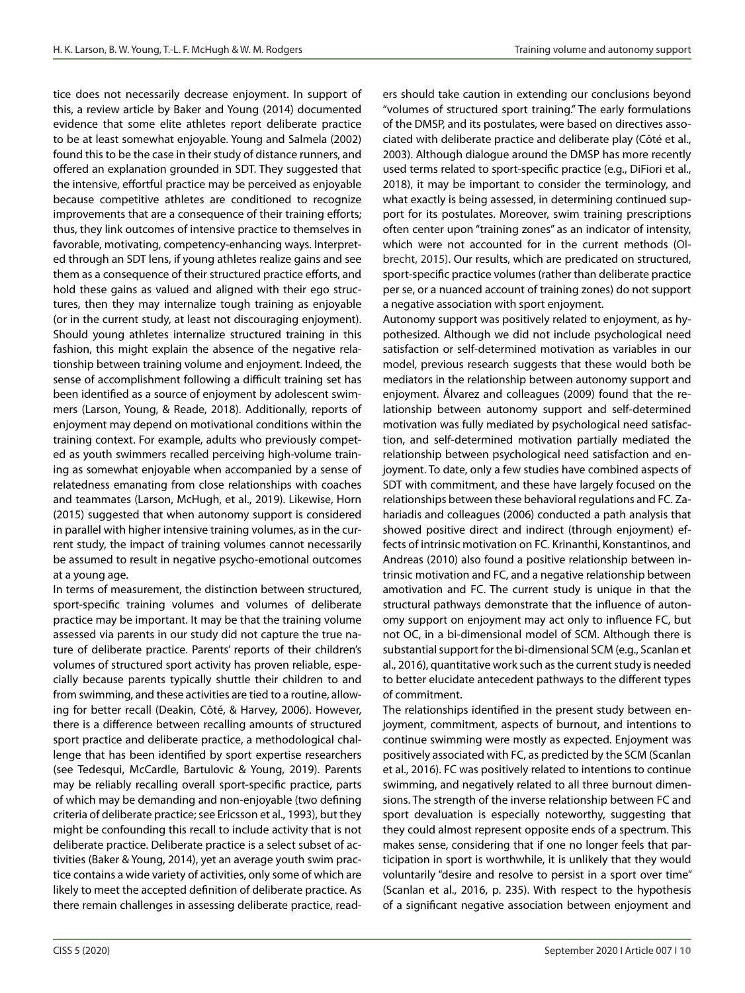tice does not necessarily decrease enjoyment. In support of this, a review article by Baker and Young (2014) documented evidence that some elite athletes report deliberate practice to be at least somewhat enjoyable. Young and Salmela (2002) found this to be the case in their study of distance runners, and offered an explanation grounded in SDT. They suggested that the intensive, effortful practice may be perceived as enjoyable because competitive athletes are conditioned to recognize improvements that are a consequence of their training efforts; thus, they link outcomes of intensive practice to themselves in favorable, motivating, competency-enhancing ways. Interpreted through an SDT lens, if young athletes realize gains and see them as a consequence of their structured practice efforts, and hold these gains as valued and aligned with their ego structures, then they may internalize tough training as enjoyable (or in the current study, at least not discouraging enjoyment). Should young athletes internalize structured training in this fashion, this might explain the absence of the negative relationship between training volume and enjoyment. Indeed, the sense of accomplishment following a difficult training set has been identified as a source of enjoyment by adolescent swimmers (Larson, Young, & Reade, 2018). Additionally, reports of enjoyment may depend on motivational conditions within the training context. For example, adults who previously competed as youth swimmers recalled perceiving high-volume training as somewhat enjoyable when accompanied by a sense of relatedness emanating from close relationships with coaches and teammates (Larson, McHugh, et al., 2019). Likewise, Horn (2015) suggested that when autonomy support is considered in parallel with higher intensive training volumes, as in the current study, the impact of training volumes cannot necessarily be assumed to result in negative psycho-emotional outcomes at a young age.

In terms of measurement, the distinction between structured, sport-specific training volumes and volumes of deliberate practice may be important. It may be that the training volume assessed via parents in our study did not capture the true nature of deliberate practice. Parents' reports of their children's volumes of structured sport activity has proven reliable, especially because parents typically shuttle their children to and from swimming, and these activities are tied to a routine, allowing for better recall (Deakin, Côté, & Harvey, 2006). However, there is a difference between recalling amounts of structured sport practice and deliberate practice, a methodological challenge that has been identified by sport expertise researchers (see Tedesqui, McCardle, Bartulovic & Young, 2019). Parents may be reliably recalling overall sport-specific practice, parts of which may be demanding and non-enjoyable (two defining criteria of deliberate practice; see Ericsson et al., 1993), but they might be confounding this recall to include activity that is not deliberate practice. Deliberate practice is a select subset of activities (Baker & Young, 2014), yet an average youth swim practice contains a wide variety of activities, only some of which are likely to meet the accepted definition of deliberate practice. As there remain challenges in assessing deliberate practice, readers should take caution in extending our conclusions beyond "volumes of structured sport training." The early formulations of the DMSP, and its postulates, were based on directives associated with deliberate practice and deliberate play (Côté et al., 2003). Although dialogue around the DMSP has more recently used terms related to sport-specific practice (e.g., DiFiori et al., 2018), it may be important to consider the terminology, and what exactly is being assessed, in determining continued support for its postulates. Moreover, swim training prescriptions often center upon "training zones" as an indicator of intensity, which were not accounted for in the current methods (Olbrecht, 2015). Our results, which are predicated on structured, sport-specific practice volumes (rather than deliberate practice per se, or a nuanced account of training zones) do not support a negative association with sport enjoyment.

Autonomy support was positively related to enjoyment, as hypothesized. Although we did not include psychological need satisfaction or self-determined motivation as variables in our model, previous research suggests that these would both be mediators in the relationship between autonomy support and enjoyment. Álvarez and colleagues (2009) found that the relationship between autonomy support and self-determined motivation was fully mediated by psychological need satisfaction, and self-determined motivation partially mediated the relationship between psychological need satisfaction and enjoyment. To date, only a few studies have combined aspects of SDT with commitment, and these have largely focused on the relationships between these behavioral regulations and FC. Zahariadis and colleagues (2006) conducted a path analysis that showed positive direct and indirect (through enjoyment) effects of intrinsic motivation on FC. Krinanthi, Konstantinos, and Andreas (2010) also found a positive relationship between intrinsic motivation and FC, and a negative relationship between amotivation and FC. The current study is unique in that the structural pathways demonstrate that the influence of autonomy support on enjoyment may act only to influence FC, but not OC, in a bi-dimensional model of SCM. Although there is substantial support for the bi-dimensional SCM (e.g., Scanlan et al., 2016), quantitative work such as the current study is needed to better elucidate antecedent pathways to the different types of commitment.

The relationships identified in the present study between enjoyment, commitment, aspects of burnout, and intentions to continue swimming were mostly as expected. Enjoyment was positively associated with FC, as predicted by the SCM (Scanlan et al., 2016). FC was positively related to intentions to continue swimming, and negatively related to all three burnout dimensions. The strength of the inverse relationship between FC and sport devaluation is especially noteworthy, suggesting that they could almost represent opposite ends of a spectrum. This makes sense, considering that if one no longer feels that participation in sport is worthwhile, it is unlikely that they would voluntarily "desire and resolve to persist in a sport over time" (Scanlan et al., 2016, p. 235). With respect to the hypothesis of a significant negative association between enjoyment and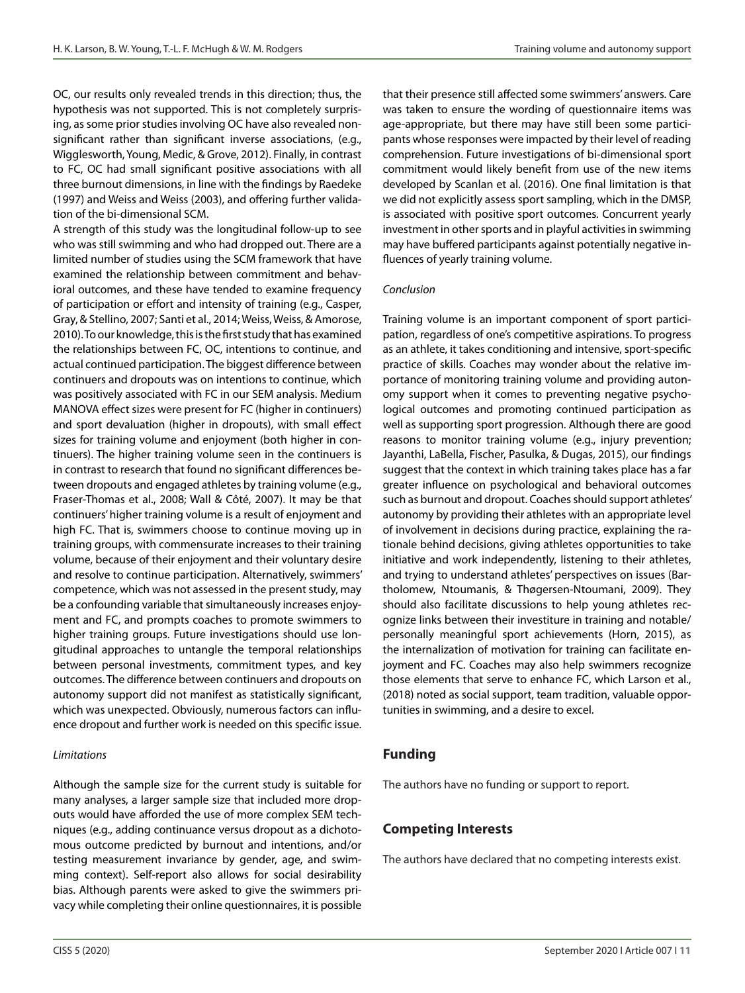OC, our results only revealed trends in this direction; thus, the hypothesis was not supported. This is not completely surprising, as some prior studies involving OC have also revealed nonsignificant rather than significant inverse associations, (e.g., Wigglesworth, Young, Medic, & Grove, 2012). Finally, in contrast to FC, OC had small significant positive associations with all three burnout dimensions, in line with the findings by Raedeke (1997) and Weiss and Weiss (2003), and offering further validation of the bi-dimensional SCM.

A strength of this study was the longitudinal follow-up to see who was still swimming and who had dropped out. There are a limited number of studies using the SCM framework that have examined the relationship between commitment and behavioral outcomes, and these have tended to examine frequency of participation or effort and intensity of training (e.g., Casper, Gray, & Stellino, 2007; Santi et al., 2014; Weiss, Weiss, & Amorose, 2010). To our knowledge, this is the first study that has examined the relationships between FC, OC, intentions to continue, and actual continued participation. The biggest difference between continuers and dropouts was on intentions to continue, which was positively associated with FC in our SEM analysis. Medium MANOVA effect sizes were present for FC (higher in continuers) and sport devaluation (higher in dropouts), with small effect sizes for training volume and enjoyment (both higher in continuers). The higher training volume seen in the continuers is in contrast to research that found no significant differences between dropouts and engaged athletes by training volume (e.g., Fraser-Thomas et al., 2008; Wall & Côté, 2007). It may be that continuers' higher training volume is a result of enjoyment and high FC. That is, swimmers choose to continue moving up in training groups, with commensurate increases to their training volume, because of their enjoyment and their voluntary desire and resolve to continue participation. Alternatively, swimmers' competence, which was not assessed in the present study, may be a confounding variable that simultaneously increases enjoyment and FC, and prompts coaches to promote swimmers to higher training groups. Future investigations should use longitudinal approaches to untangle the temporal relationships between personal investments, commitment types, and key outcomes. The difference between continuers and dropouts on autonomy support did not manifest as statistically significant, which was unexpected. Obviously, numerous factors can influence dropout and further work is needed on this specific issue.

#### *Limitations*

Although the sample size for the current study is suitable for many analyses, a larger sample size that included more dropouts would have afforded the use of more complex SEM techniques (e.g., adding continuance versus dropout as a dichotomous outcome predicted by burnout and intentions, and/or testing measurement invariance by gender, age, and swimming context). Self-report also allows for social desirability bias. Although parents were asked to give the swimmers privacy while completing their online questionnaires, it is possible

that their presence still affected some swimmers' answers. Care was taken to ensure the wording of questionnaire items was age-appropriate, but there may have still been some participants whose responses were impacted by their level of reading comprehension. Future investigations of bi-dimensional sport commitment would likely benefit from use of the new items developed by Scanlan et al. (2016). One final limitation is that we did not explicitly assess sport sampling, which in the DMSP, is associated with positive sport outcomes. Concurrent yearly investment in other sports and in playful activities in swimming may have buffered participants against potentially negative influences of yearly training volume.

#### *Conclusion*

Training volume is an important component of sport participation, regardless of one's competitive aspirations. To progress as an athlete, it takes conditioning and intensive, sport-specific practice of skills. Coaches may wonder about the relative importance of monitoring training volume and providing autonomy support when it comes to preventing negative psychological outcomes and promoting continued participation as well as supporting sport progression. Although there are good reasons to monitor training volume (e.g., injury prevention; Jayanthi, LaBella, Fischer, Pasulka, & Dugas, 2015), our findings suggest that the context in which training takes place has a far greater influence on psychological and behavioral outcomes such as burnout and dropout. Coaches should support athletes' autonomy by providing their athletes with an appropriate level of involvement in decisions during practice, explaining the rationale behind decisions, giving athletes opportunities to take initiative and work independently, listening to their athletes, and trying to understand athletes' perspectives on issues (Bartholomew, Ntoumanis, & Thøgersen-Ntoumani, 2009). They should also facilitate discussions to help young athletes recognize links between their investiture in training and notable/ personally meaningful sport achievements (Horn, 2015), as the internalization of motivation for training can facilitate enjoyment and FC. Coaches may also help swimmers recognize those elements that serve to enhance FC, which Larson et al., (2018) noted as social support, team tradition, valuable opportunities in swimming, and a desire to excel.

# **Funding**

The authors have no funding or support to report.

# **Competing Interests**

The authors have declared that no competing interests exist.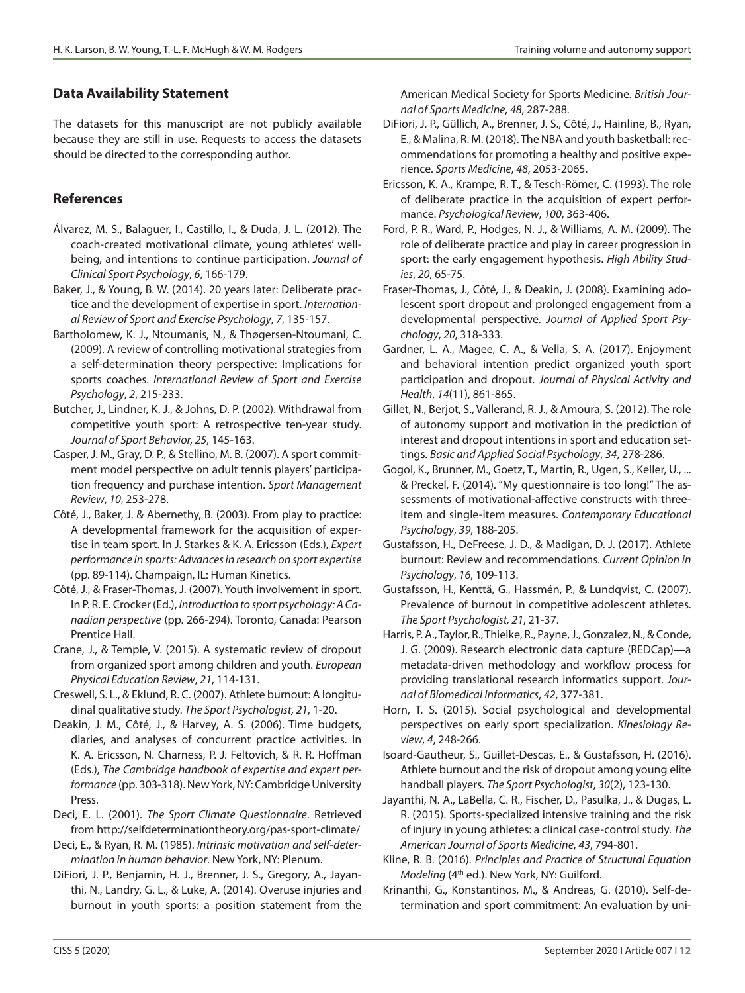# **Data Availability Statement**

The datasets for this manuscript are not publicly available because they are still in use. Requests to access the datasets should be directed to the corresponding author.

# **References**

- Álvarez, M. S., Balaguer, I., Castillo, I., & Duda, J. L. (2012). The coach-created motivational climate, young athletes' wellbeing, and intentions to continue participation. *Journal of Clinical Sport Psychology*, *6*, 166-179.
- Baker, J., & Young, B. W. (2014). 20 years later: Deliberate practice and the development of expertise in sport. *International Review of Sport and Exercise Psychology*, *7*, 135-157.
- Bartholomew, K. J., Ntoumanis, N., & Thøgersen-Ntoumani, C. (2009). A review of controlling motivational strategies from a self-determination theory perspective: Implications for sports coaches. *International Review of Sport and Exercise Psychology*, *2*, 215-233.
- Butcher, J., Lindner, K. J., & Johns, D. P. (2002). Withdrawal from competitive youth sport: A retrospective ten-year study. *Journal of Sport Behavior, 25*, 145-163.
- Casper, J. M., Gray, D. P., & Stellino, M. B. (2007). A sport commitment model perspective on adult tennis players' participation frequency and purchase intention. *Sport Management Review*, *10*, 253-278.
- Côté, J., Baker, J. & Abernethy, B. (2003). From play to practice: A developmental framework for the acquisition of expertise in team sport. In J. Starkes & K. A. Ericsson (Eds.), *Expert performance in sports: Advances in research on sport expertise* (pp. 89-114). Champaign, IL: Human Kinetics.
- Côté, J., & Fraser-Thomas, J. (2007). Youth involvement in sport. In P. R. E. Crocker (Ed.), *Introduction to sport psychology: A Canadian perspective* (pp. 266-294). Toronto, Canada: Pearson Prentice Hall.
- Crane, J., & Temple, V. (2015). A systematic review of dropout from organized sport among children and youth. *European Physical Education Review*, *21*, 114-131.
- Creswell, S. L., & Eklund, R. C. (2007). Athlete burnout: A longitudinal qualitative study. *The Sport Psychologist, 21*, 1-20.
- Deakin, J. M., Côté, J., & Harvey, A. S. (2006). Time budgets, diaries, and analyses of concurrent practice activities. In K. A. Ericsson, N. Charness, P. J. Feltovich, & R. R. Hoffman (Eds.), *The Cambridge handbook of expertise and expert performance* (pp. 303-318). New York, NY: Cambridge University Press.
- Deci, E. L. (2001). *The Sport Climate Questionnaire*. Retrieved from http://selfdeterminationtheory.org/pas-sport-climate/
- Deci, E., & Ryan, R. M. (1985). *Intrinsic motivation and self-determination in human behavior*. New York, NY: Plenum.
- DiFiori, J. P., Benjamin, H. J., Brenner, J. S., Gregory, A., Jayanthi, N., Landry, G. L., & Luke, A. (2014). Overuse injuries and burnout in youth sports: a position statement from the

American Medical Society for Sports Medicine. *British Journal of Sports Medicine*, *48*, 287-288.

- DiFiori, J. P., Güllich, A., Brenner, J. S., Côté, J., Hainline, B., Ryan, E., & Malina, R. M. (2018). The NBA and youth basketball: recommendations for promoting a healthy and positive experience. *Sports Medicine*, *48*, 2053-2065.
- Ericsson, K. A., Krampe, R. T., & Tesch-Römer, C. (1993). The role of deliberate practice in the acquisition of expert performance. *Psychological Review*, *100*, 363-406.
- Ford, P. R., Ward, P., Hodges, N. J., & Williams, A. M. (2009). The role of deliberate practice and play in career progression in sport: the early engagement hypothesis. *High Ability Studies*, *20*, 65-75.
- Fraser-Thomas, J., Côté, J., & Deakin, J. (2008). Examining adolescent sport dropout and prolonged engagement from a developmental perspective. *Journal of Applied Sport Psychology*, *20*, 318-333.
- Gardner, L. A., Magee, C. A., & Vella, S. A. (2017). Enjoyment and behavioral intention predict organized youth sport participation and dropout. *Journal of Physical Activity and Health*, *14*(11), 861-865.
- Gillet, N., Berjot, S., Vallerand, R. J., & Amoura, S. (2012). The role of autonomy support and motivation in the prediction of interest and dropout intentions in sport and education settings. *Basic and Applied Social Psychology*, *34*, 278-286.
- Gogol, K., Brunner, M., Goetz, T., Martin, R., Ugen, S., Keller, U., ... & Preckel, F. (2014). "My questionnaire is too long!" The assessments of motivational-affective constructs with threeitem and single-item measures. *Contemporary Educational Psychology*, *39*, 188-205.
- Gustafsson, H., DeFreese, J. D., & Madigan, D. J. (2017). Athlete burnout: Review and recommendations. *Current Opinion in Psychology*, *16*, 109-113.
- Gustafsson, H., Kenttä, G., Hassmén, P., & Lundqvist, C. (2007). Prevalence of burnout in competitive adolescent athletes. *The Sport Psychologist, 21*, 21-37.
- Harris, P. A., Taylor, R., Thielke, R., Payne, J., Gonzalez, N., & Conde, J. G. (2009). Research electronic data capture (REDCap)—a metadata-driven methodology and workflow process for providing translational research informatics support. *Journal of Biomedical Informatics*, *42*, 377-381.
- Horn, T. S. (2015). Social psychological and developmental perspectives on early sport specialization. *Kinesiology Review*, *4*, 248-266.
- Isoard-Gautheur, S., Guillet-Descas, E., & Gustafsson, H. (2016). Athlete burnout and the risk of dropout among young elite handball players. *The Sport Psychologist*, *30*(2), 123-130.
- Jayanthi, N. A., LaBella, C. R., Fischer, D., Pasulka, J., & Dugas, L. R. (2015). Sports-specialized intensive training and the risk of injury in young athletes: a clinical case-control study. *The American Journal of Sports Medicine*, *43*, 794-801.
- Kline, R. B. (2016). *Principles and Practice of Structural Equation Modeling* (4<sup>th</sup> ed.). New York, NY: Guilford.
- Krinanthi, G., Konstantinos, M., & Andreas, G. (2010). Self-determination and sport commitment: An evaluation by uni-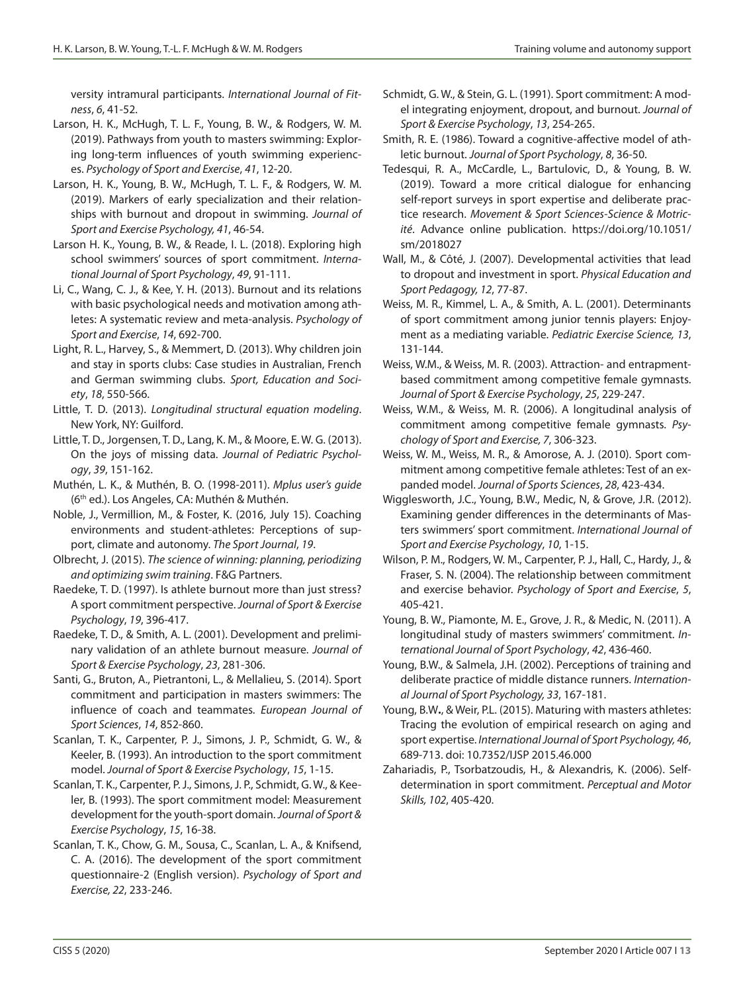versity intramural participants. *International Journal of Fitness*, *6*, 41-52.

- Larson, H. K., McHugh, T. L. F., Young, B. W., & Rodgers, W. M. (2019). Pathways from youth to masters swimming: Exploring long-term influences of youth swimming experiences. *Psychology of Sport and Exercise*, *41*, 12-20.
- Larson, H. K., Young, B. W., McHugh, T. L. F., & Rodgers, W. M. (2019). Markers of early specialization and their relationships with burnout and dropout in swimming. *Journal of Sport and Exercise Psychology, 41*, 46-54.
- Larson H. K., Young, B. W., & Reade, I. L. (2018). Exploring high school swimmers' sources of sport commitment. *International Journal of Sport Psychology*, *49*, 91-111.
- Li, C., Wang, C. J., & Kee, Y. H. (2013). Burnout and its relations with basic psychological needs and motivation among athletes: A systematic review and meta-analysis. *Psychology of Sport and Exercise*, *14*, 692-700.
- Light, R. L., Harvey, S., & Memmert, D. (2013). Why children join and stay in sports clubs: Case studies in Australian, French and German swimming clubs. *Sport, Education and Society*, *18*, 550-566.
- Little, T. D. (2013). *Longitudinal structural equation modeling*. New York, NY: Guilford.
- Little, T. D., Jorgensen, T. D., Lang, K. M., & Moore, E. W. G. (2013). On the joys of missing data. *Journal of Pediatric Psychology*, *39*, 151-162.
- Muthén, L. K., & Muthén, B. O. (1998-2011). *Mplus user's guide* (6th ed.). Los Angeles, CA: Muthén & Muthén.
- Noble, J., Vermillion, M., & Foster, K. (2016, July 15). Coaching environments and student-athletes: Perceptions of support, climate and autonomy. *The Sport Journal*, *19*.
- Olbrecht, J. (2015). *The science of winning: planning, periodizing and optimizing swim training*. F&G Partners.
- Raedeke, T. D. (1997). Is athlete burnout more than just stress? A sport commitment perspective. *Journal of Sport & Exercise Psychology*, *19*, 396-417.
- Raedeke, T. D., & Smith, A. L. (2001). Development and preliminary validation of an athlete burnout measure. *Journal of Sport & Exercise Psychology*, *23*, 281-306.
- Santi, G., Bruton, A., Pietrantoni, L., & Mellalieu, S. (2014). Sport commitment and participation in masters swimmers: The influence of coach and teammates. *European Journal of Sport Sciences*, *14*, 852-860.
- Scanlan, T. K., Carpenter, P. J., Simons, J. P., Schmidt, G. W., & Keeler, B. (1993). An introduction to the sport commitment model. *Journal of Sport & Exercise Psychology*, *15*, 1-15.
- Scanlan, T. K., Carpenter, P. J., Simons, J. P., Schmidt, G. W., & Keeler, B. (1993). The sport commitment model: Measurement development for the youth-sport domain. *Journal of Sport & Exercise Psychology*, *15*, 16-38.
- Scanlan, T. K., Chow, G. M., Sousa, C., Scanlan, L. A., & Knifsend, C. A. (2016). The development of the sport commitment questionnaire-2 (English version). *Psychology of Sport and Exercise, 22*, 233-246.
- Schmidt, G. W., & Stein, G. L. (1991). Sport commitment: A model integrating enjoyment, dropout, and burnout. *Journal of Sport & Exercise Psychology*, *13*, 254-265.
- Smith, R. E. (1986). Toward a cognitive-affective model of athletic burnout. *Journal of Sport Psychology*, *8*, 36-50.
- Tedesqui, R. A., McCardle, L., Bartulovic, D., & Young, B. W. (2019). Toward a more critical dialogue for enhancing self-report surveys in sport expertise and deliberate practice research. *Movement & Sport Sciences-Science & Motricité*. Advance online publication. https://doi.org/10.1051/ sm/2018027
- Wall, M., & Côté, J. (2007). Developmental activities that lead to dropout and investment in sport. *Physical Education and Sport Pedagogy, 12*, 77-87.
- Weiss, M. R., Kimmel, L. A., & Smith, A. L. (2001). Determinants of sport commitment among junior tennis players: Enjoyment as a mediating variable. *Pediatric Exercise Science, 13*, 131-144.
- Weiss, W.M., & Weiss, M. R. (2003). Attraction- and entrapmentbased commitment among competitive female gymnasts. *Journal of Sport & Exercise Psychology*, *25*, 229-247.
- Weiss, W.M., & Weiss, M. R. (2006). A longitudinal analysis of commitment among competitive female gymnasts. *Psychology of Sport and Exercise, 7*, 306-323.
- Weiss, W. M., Weiss, M. R., & Amorose, A. J. (2010). Sport commitment among competitive female athletes: Test of an expanded model. *Journal of Sports Sciences*, *28*, 423-434.
- Wigglesworth, J.C., Young, B.W., Medic, N, & Grove, J.R. (2012). Examining gender differences in the determinants of Masters swimmers' sport commitment. *International Journal of Sport and Exercise Psychology*, *10*, 1-15.
- Wilson, P. M., Rodgers, W. M., Carpenter, P. J., Hall, C., Hardy, J., & Fraser, S. N. (2004). The relationship between commitment and exercise behavior. *Psychology of Sport and Exercise*, *5*, 405-421.
- Young, B. W., Piamonte, M. E., Grove, J. R., & Medic, N. (2011). A longitudinal study of masters swimmers' commitment. *International Journal of Sport Psychology*, *42*, 436-460.
- Young, B.W., & Salmela, J.H. (2002). Perceptions of training and deliberate practice of middle distance runners. *International Journal of Sport Psychology, 33*, 167-181.
- Young, B.W**.**, & Weir, P.L. (2015). Maturing with masters athletes: Tracing the evolution of empirical research on aging and sport expertise. *International Journal of Sport Psychology, 46*, 689-713. doi: 10.7352/IJSP 2015.46.000
- Zahariadis, P., Tsorbatzoudis, H., & Alexandris, K. (2006). Selfdetermination in sport commitment. *Perceptual and Motor Skills, 102*, 405-420.